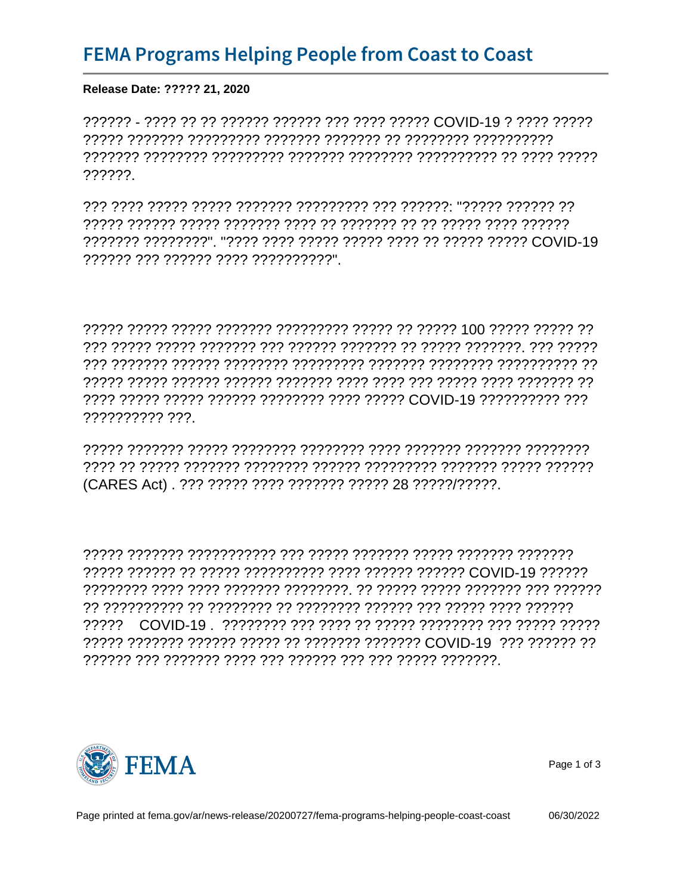Release Date: ????? 21, 2020

??????

רך רךרדרך ררדרי ירדרי ירדרך ררך ררדרדרדרך ררדררך ררדרך ררדרך ררדף רב 

\*B/JE 'D/9E %DI 'D-CHE'\* 'DE-DJ) H-CHE'\* 'DHD'J) H'D-CH

?????????? ???

(CARES Act). ??? ????? ???? ??????? ????? 28 ?????/?????.

3/'/ \*C'DJA 'D%JH'! :J1 'D, E'9J



Page 1 of 3

06/30/2022

Page printed at fema.gov/ar/news-release/20200727/fema-programs-helping-people-coast-coast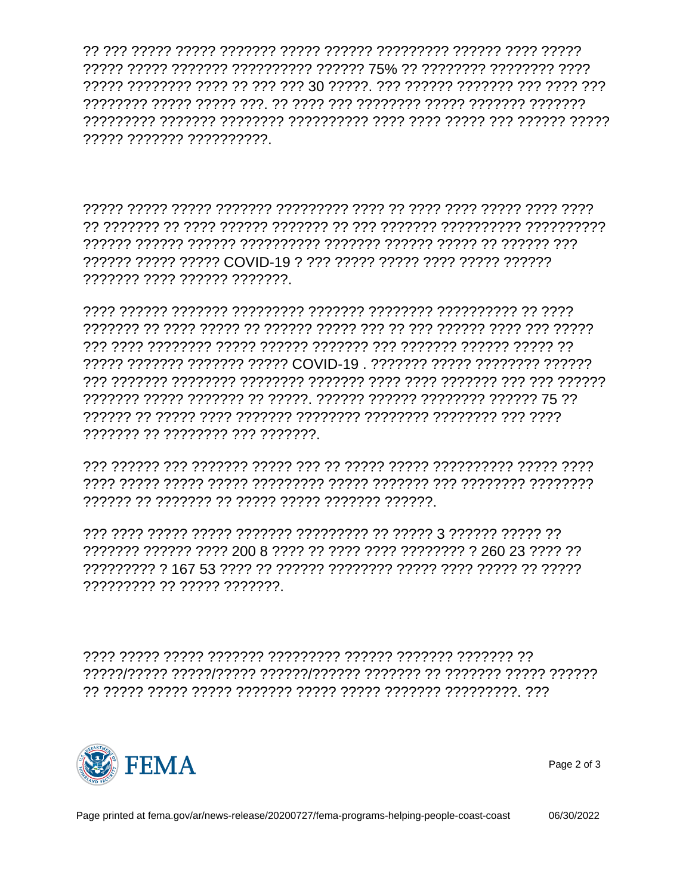????? ??????? ??????????

\*  $E$  H J D \* H 2 J 9  $D#:0$  J )

?????? ????? ????? COVID-19 ? ??? ????? ????? ???? ????? ?????? ??????? ???? ?????? ???????

????? ??????? ??????? ????? COVID-19 . ??????? ????? ??????? ?????? 

????????? ?? ????? ???????

 $'DE9HF) 'DE'DJ) DDCH'1+$ 



Page 2 of 3

06/30/2022